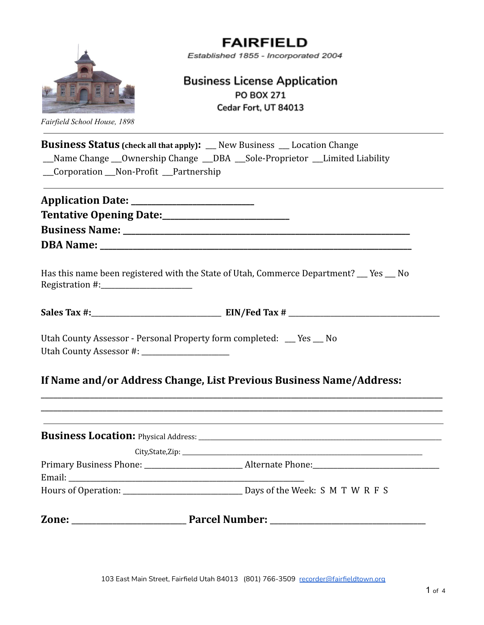

*Fairfield School House, 1898*

# **FAIRFIELD**

Established 1855 - Incorporated 2004

## **Business License Application PO BOX 271** Cedar Fort, UT 84013

| <b>Business Status</b> (check all that apply): _ New Business _ Location Change                                                              |  |
|----------------------------------------------------------------------------------------------------------------------------------------------|--|
| Name Change __Ownership Change __DBA __Sole-Proprietor __Limited Liability                                                                   |  |
| __Corporation __Non-Profit __Partnership                                                                                                     |  |
|                                                                                                                                              |  |
|                                                                                                                                              |  |
|                                                                                                                                              |  |
|                                                                                                                                              |  |
|                                                                                                                                              |  |
| Has this name been registered with the State of Utah, Commerce Department? __ Yes __ No                                                      |  |
|                                                                                                                                              |  |
|                                                                                                                                              |  |
|                                                                                                                                              |  |
|                                                                                                                                              |  |
|                                                                                                                                              |  |
|                                                                                                                                              |  |
|                                                                                                                                              |  |
|                                                                                                                                              |  |
|                                                                                                                                              |  |
|                                                                                                                                              |  |
|                                                                                                                                              |  |
| Utah County Assessor - Personal Property form completed: __ Yes __ No<br>If Name and/or Address Change, List Previous Business Name/Address: |  |
|                                                                                                                                              |  |
|                                                                                                                                              |  |
|                                                                                                                                              |  |
|                                                                                                                                              |  |
|                                                                                                                                              |  |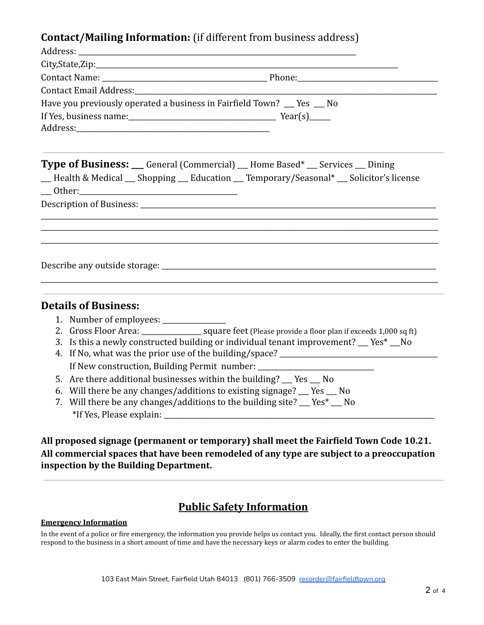### **Contact/Mailing Information:** (if different from business address)

| Contact Email Address: The Contact Email Address:                                                                                                                                               |  |  |  |
|-------------------------------------------------------------------------------------------------------------------------------------------------------------------------------------------------|--|--|--|
| Have you previously operated a business in Fairfield Town? __ Yes _ No                                                                                                                          |  |  |  |
|                                                                                                                                                                                                 |  |  |  |
|                                                                                                                                                                                                 |  |  |  |
| <b>Type of Business:</b> __ General (Commercial) __ Home Based* __ Services __ Dining<br>- Health & Medical - Shopping - Education - Temporary/Seasonal* - Solicitor's license<br>$\_\_$ Other: |  |  |  |
|                                                                                                                                                                                                 |  |  |  |
|                                                                                                                                                                                                 |  |  |  |
|                                                                                                                                                                                                 |  |  |  |
|                                                                                                                                                                                                 |  |  |  |
|                                                                                                                                                                                                 |  |  |  |
|                                                                                                                                                                                                 |  |  |  |
|                                                                                                                                                                                                 |  |  |  |
| <b>Details of Business:</b>                                                                                                                                                                     |  |  |  |
| 1. Number of employees: ________________                                                                                                                                                        |  |  |  |
|                                                                                                                                                                                                 |  |  |  |
| 3. Is this a newly constructed building or individual tenant improvement? __ Yes* __No                                                                                                          |  |  |  |
|                                                                                                                                                                                                 |  |  |  |
| If New construction, Building Permit number: ___________________________________                                                                                                                |  |  |  |
| 5. Are there additional businesses within the building? __ Yes __ No                                                                                                                            |  |  |  |
| 6. Will there be any changes/additions to existing signage? __ Yes __ No<br>7. Will there be any changes/additions to the building site? __ Yes* __ No                                          |  |  |  |

**All proposed signage (permanent or temporary) shall meet the Fairfield Town Code 10.21. All commercial spaces that have been remodeled of any type are subject to a preoccupation inspection by the Building Department.**

# **Public Safety Information**

#### **Emergency Information**

In the event of a police or fire emergency, the information you provide helps us contact you. Ideally, the first contact person should respond to the business in a short amount of time and have the necessary keys or alarm codes to enter the building.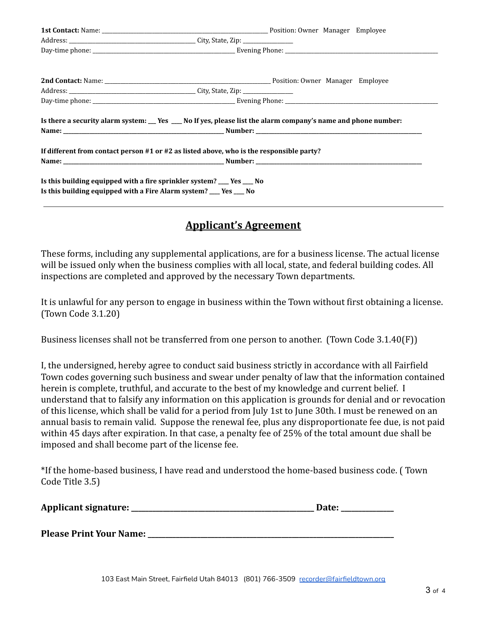| Is there a security alarm system: __ Yes __ No If yes, please list the alarm company's name and phone number:                              |  |  |  |
|--------------------------------------------------------------------------------------------------------------------------------------------|--|--|--|
| If different from contact person $#1$ or $#2$ as listed above, who is the responsible party?                                               |  |  |  |
|                                                                                                                                            |  |  |  |
| Is this building equipped with a fire sprinkler system? ___ Yes ___ No<br>Is this building equipped with a Fire Alarm system? __ Yes __ No |  |  |  |

#### **Applicant's Agreement**

These forms, including any supplemental applications, are for a business license. The actual license will be issued only when the business complies with all local, state, and federal building codes. All inspections are completed and approved by the necessary Town departments.

It is unlawful for any person to engage in business within the Town without first obtaining a license. (Town Code 3.1.20)

Business licenses shall not be transferred from one person to another. (Town Code 3.1.40(F))

I, the undersigned, hereby agree to conduct said business strictly in accordance with all Fairfield Town codes governing such business and swear under penalty of law that the information contained herein is complete, truthful, and accurate to the best of my knowledge and current belief. I understand that to falsify any information on this application is grounds for denial and or revocation of this license, which shall be valid for a period from July 1st to June 30th. I must be renewed on an annual basis to remain valid. Suppose the renewal fee, plus any disproportionate fee due, is not paid within 45 days after expiration. In that case, a penalty fee of 25% of the total amount due shall be imposed and shall become part of the license fee.

\*If the home-based business, I have read and understood the home-based business code. ( Town Code Title 3.5)

| <b>Applicant signature:</b> | <b>Date:</b> |  |
|-----------------------------|--------------|--|
|-----------------------------|--------------|--|

**Please Print Your Name: \_\_\_\_\_\_\_\_\_\_\_\_\_\_\_\_\_\_\_\_\_\_\_\_\_\_\_\_\_\_\_\_\_\_\_\_\_\_\_\_\_\_\_\_\_\_\_\_\_\_\_\_\_\_\_\_\_\_\_\_\_\_\_\_\_\_\_\_\_\_**